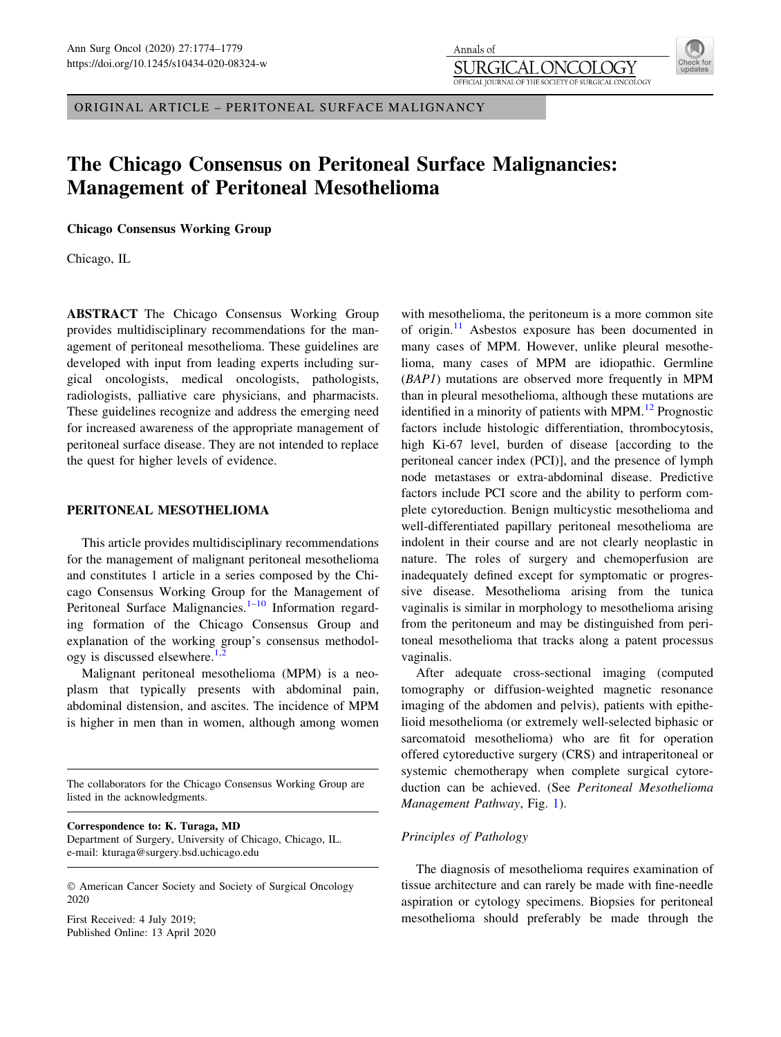ORIGINAL ARTICLE – PERITONEAL SURFACE MALIGNANCY

# The Chicago Consensus on Peritoneal Surface Malignancies: Management of Peritoneal Mesothelioma

Annals of **JRGI** 

Chicago Consensus Working Group

Chicago, IL

ABSTRACT The Chicago Consensus Working Group provides multidisciplinary recommendations for the management of peritoneal mesothelioma. These guidelines are developed with input from leading experts including surgical oncologists, medical oncologists, pathologists, radiologists, palliative care physicians, and pharmacists. These guidelines recognize and address the emerging need for increased awareness of the appropriate management of peritoneal surface disease. They are not intended to replace the quest for higher levels of evidence.

### PERITONEAL MESOTHELIOMA

This article provides multidisciplinary recommendations for the management of malignant peritoneal mesothelioma and constitutes 1 article in a series composed by the Chicago Consensus Working Group for the Management of Peritoneal Surface Malignancies. $1-10$  Information regarding formation of the Chicago Consensus Group and explanation of the working group's consensus methodology is discussed elsewhere. $1,2$  $1,2$  $1,2$ 

Malignant peritoneal mesothelioma (MPM) is a neoplasm that typically presents with abdominal pain, abdominal distension, and ascites. The incidence of MPM is higher in men than in women, although among women

The collaborators for the Chicago Consensus Working Group are listed in the acknowledgments.

Correspondence to: K. Turaga, MD Department of Surgery, University of Chicago, Chicago, IL. e-mail: kturaga@surgery.bsd.uchicago.edu

 $©$  American Cancer Society and Society of Surgical Oncology 2020

First Received: 4 July 2019; Published Online: 13 April 2020

with mesothelioma, the peritoneum is a more common site of origin.[11](#page-4-0) Asbestos exposure has been documented in many cases of MPM. However, unlike pleural mesothelioma, many cases of MPM are idiopathic. Germline (BAP1) mutations are observed more frequently in MPM than in pleural mesothelioma, although these mutations are identified in a minority of patients with MPM. $^{12}$  $^{12}$  $^{12}$  Prognostic factors include histologic differentiation, thrombocytosis, high Ki-67 level, burden of disease [according to the peritoneal cancer index (PCI)], and the presence of lymph node metastases or extra-abdominal disease. Predictive factors include PCI score and the ability to perform complete cytoreduction. Benign multicystic mesothelioma and well-differentiated papillary peritoneal mesothelioma are indolent in their course and are not clearly neoplastic in nature. The roles of surgery and chemoperfusion are inadequately defined except for symptomatic or progressive disease. Mesothelioma arising from the tunica vaginalis is similar in morphology to mesothelioma arising from the peritoneum and may be distinguished from peritoneal mesothelioma that tracks along a patent processus vaginalis.

After adequate cross-sectional imaging (computed tomography or diffusion-weighted magnetic resonance imaging of the abdomen and pelvis), patients with epithelioid mesothelioma (or extremely well-selected biphasic or sarcomatoid mesothelioma) who are fit for operation offered cytoreductive surgery (CRS) and intraperitoneal or systemic chemotherapy when complete surgical cytoreduction can be achieved. (See Peritoneal Mesothelioma Management Pathway, Fig. [1\)](#page-1-0).

# Principles of Pathology

The diagnosis of mesothelioma requires examination of tissue architecture and can rarely be made with fine-needle aspiration or cytology specimens. Biopsies for peritoneal mesothelioma should preferably be made through the

 $(\chi_T)$ 

OFFICIAL JOURNAL OF THE SOCIETY OF SURGICAL ONCOLOGY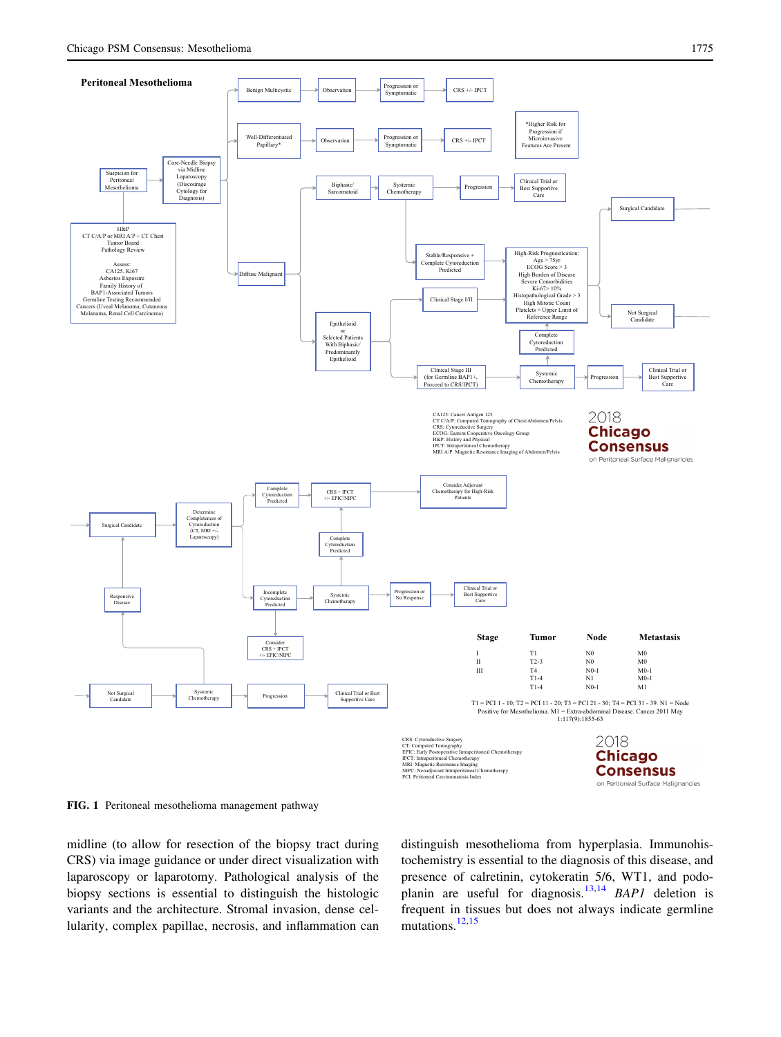<span id="page-1-0"></span>

FIG. 1 Peritoneal mesothelioma management pathway

midline (to allow for resection of the biopsy tract during CRS) via image guidance or under direct visualization with laparoscopy or laparotomy. Pathological analysis of the biopsy sections is essential to distinguish the histologic variants and the architecture. Stromal invasion, dense cellularity, complex papillae, necrosis, and inflammation can distinguish mesothelioma from hyperplasia. Immunohistochemistry is essential to the diagnosis of this disease, and presence of calretinin, cytokeratin 5/6, WT1, and podo-planin are useful for diagnosis.<sup>[13,14](#page-5-0)</sup> BAP1 deletion is frequent in tissues but does not always indicate germline mutations.[12,15](#page-5-0)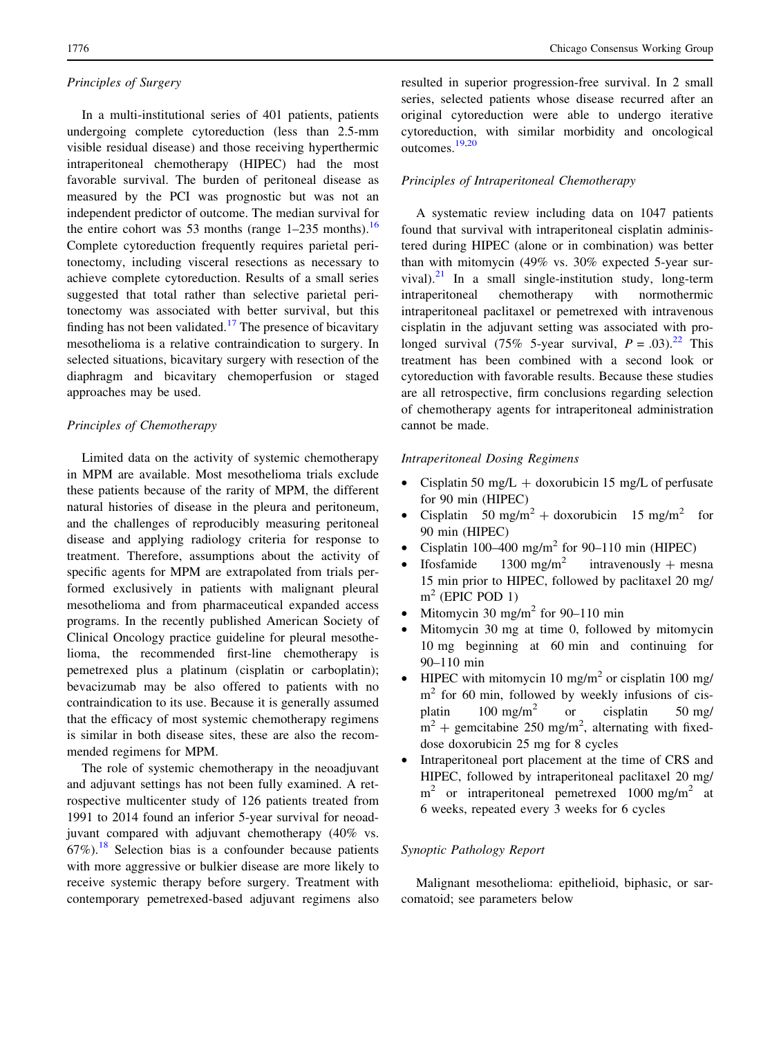# Principles of Surgery

In a multi-institutional series of 401 patients, patients undergoing complete cytoreduction (less than 2.5-mm visible residual disease) and those receiving hyperthermic intraperitoneal chemotherapy (HIPEC) had the most favorable survival. The burden of peritoneal disease as measured by the PCI was prognostic but was not an independent predictor of outcome. The median survival for the entire cohort was 53 months (range  $1-235$  months).<sup>[16](#page-5-0)</sup> Complete cytoreduction frequently requires parietal peritonectomy, including visceral resections as necessary to achieve complete cytoreduction. Results of a small series suggested that total rather than selective parietal peritonectomy was associated with better survival, but this finding has not been validated.<sup>[17](#page-5-0)</sup> The presence of bicavitary mesothelioma is a relative contraindication to surgery. In selected situations, bicavitary surgery with resection of the diaphragm and bicavitary chemoperfusion or staged approaches may be used.

#### Principles of Chemotherapy

Limited data on the activity of systemic chemotherapy in MPM are available. Most mesothelioma trials exclude these patients because of the rarity of MPM, the different natural histories of disease in the pleura and peritoneum, and the challenges of reproducibly measuring peritoneal disease and applying radiology criteria for response to treatment. Therefore, assumptions about the activity of specific agents for MPM are extrapolated from trials performed exclusively in patients with malignant pleural mesothelioma and from pharmaceutical expanded access programs. In the recently published American Society of Clinical Oncology practice guideline for pleural mesothelioma, the recommended first-line chemotherapy is pemetrexed plus a platinum (cisplatin or carboplatin); bevacizumab may be also offered to patients with no contraindication to its use. Because it is generally assumed that the efficacy of most systemic chemotherapy regimens is similar in both disease sites, these are also the recommended regimens for MPM.

The role of systemic chemotherapy in the neoadjuvant and adjuvant settings has not been fully examined. A retrospective multicenter study of 126 patients treated from 1991 to 2014 found an inferior 5-year survival for neoadjuvant compared with adjuvant chemotherapy (40% vs.  $67\%$ ).<sup>[18](#page-5-0)</sup> Selection bias is a confounder because patients with more aggressive or bulkier disease are more likely to receive systemic therapy before surgery. Treatment with contemporary pemetrexed-based adjuvant regimens also resulted in superior progression-free survival. In 2 small series, selected patients whose disease recurred after an original cytoreduction were able to undergo iterative cytoreduction, with similar morbidity and oncological outcomes.[19,20](#page-5-0)

#### Principles of Intraperitoneal Chemotherapy

A systematic review including data on 1047 patients found that survival with intraperitoneal cisplatin administered during HIPEC (alone or in combination) was better than with mitomycin (49% vs. 30% expected 5-year sur-vival).<sup>[21](#page-5-0)</sup> In a small single-institution study, long-term intraperitoneal chemotherapy with normothermic intraperitoneal paclitaxel or pemetrexed with intravenous cisplatin in the adjuvant setting was associated with prolonged survival (75% 5-year survival,  $P = .03$ ).<sup>22</sup> This treatment has been combined with a second look or cytoreduction with favorable results. Because these studies are all retrospective, firm conclusions regarding selection of chemotherapy agents for intraperitoneal administration cannot be made.

# Intraperitoneal Dosing Regimens

- Cisplatin 50 mg/L  $+$  doxorubicin 15 mg/L of perfusate for 90 min (HIPEC)
- Cisplatin 50 mg/m<sup>2</sup> + doxorubicin 15 mg/m<sup>2</sup> for 90 min (HIPEC)
- Cisplatin 100–400 mg/m<sup>2</sup> for 90–110 min (HIPEC)
- Ifosfamide 1300 mg/m<sup>2</sup> intravenously + mesna 15 min prior to HIPEC, followed by paclitaxel 20 mg/  $m<sup>2</sup>$  (EPIC POD 1)
- Mitomycin 30 mg/m<sup>2</sup> for 90–110 min
- Mitomycin 30 mg at time 0, followed by mitomycin 10 mg beginning at 60 min and continuing for 90–110 min
- HIPEC with mitomycin 10 mg/m<sup>2</sup> or cisplatin 100 mg/  $m<sup>2</sup>$  for 60 min, followed by weekly infusions of cisplatin  $100 \text{ mg/m}^2$  or cisplatin 50 mg/  $m^2$  + gemcitabine 250 mg/m<sup>2</sup>, alternating with fixeddose doxorubicin 25 mg for 8 cycles
- Intraperitoneal port placement at the time of CRS and HIPEC, followed by intraperitoneal paclitaxel 20 mg/  $m<sup>2</sup>$  or intraperitoneal pemetrexed 1000 mg/m<sup>2</sup> at 6 weeks, repeated every 3 weeks for 6 cycles

# Synoptic Pathology Report

Malignant mesothelioma: epithelioid, biphasic, or sarcomatoid; see parameters below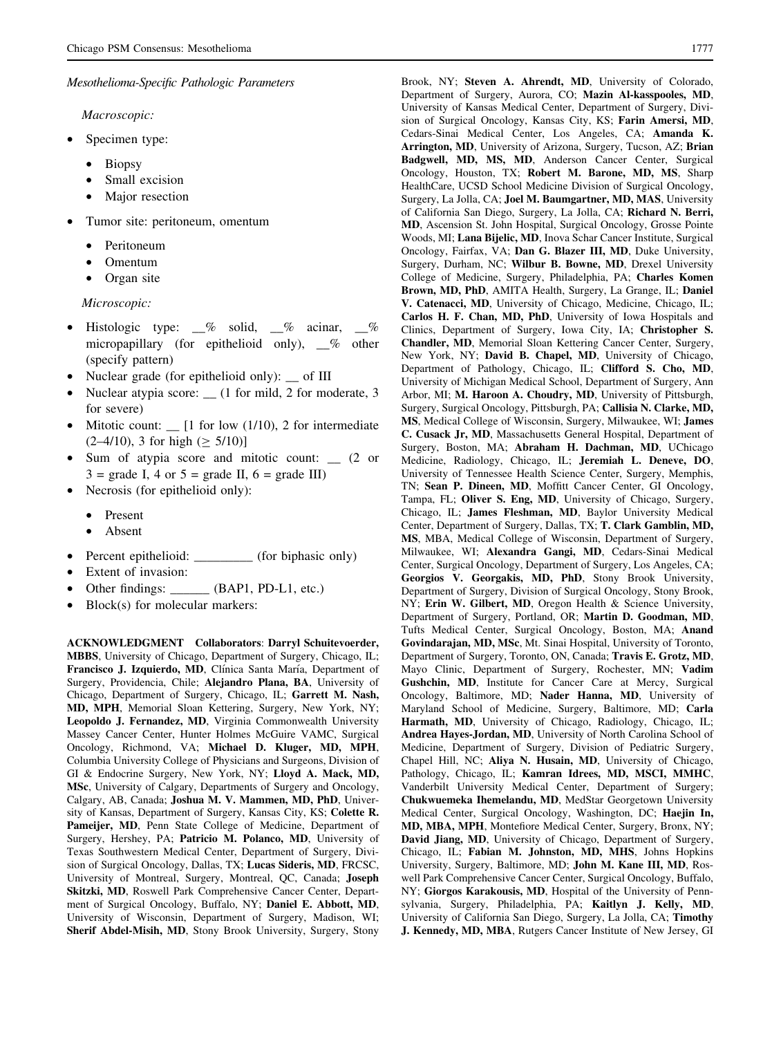Mesothelioma-Specific Pathologic Parameters

Macroscopic:

- Specimen type:
	- **Biopsy**
	- Small excision
	- Major resection
- Tumor site: peritoneum, omentum
	- Peritoneum
	- Omentum
	- Organ site

Microscopic:

- Histologic type:  $\frac{\%}{\%}$  solid,  $\frac{\%}{\%}$  acinar,  $\frac{\%}{\%}$ micropapillary (for epithelioid only), \_\_% other (specify pattern)
- Nuclear grade (for epithelioid only): of III
- Nuclear atypia score:  $\angle$  (1 for mild, 2 for moderate, 3 for severe)
- Mitotic count:  $\boxed{\phantom{0}}$  [1 for low (1/10), 2 for intermediate  $(2-4/10)$ , 3 for high  $(2\overline{5}/10)$ ]
- Sum of atypia score and mitotic count: \_\_ (2 or  $3 = \text{grade } I$ , 4 or  $5 = \text{grade } II$ , 6 = grade III)
- Necrosis (for epithelioid only):
	- Present
	- Absent
- Percent epithelioid: \_\_\_\_\_\_\_\_\_ (for biphasic only)
- Extent of invasion:
- Other findings: (BAP1, PD-L1, etc.)
- Block(s) for molecular markers:

ACKNOWLEDGMENT Collaborators: Darryl Schuitevoerder, MBBS, University of Chicago, Department of Surgery, Chicago, IL; Francisco J. Izquierdo, MD, Clínica Santa María, Department of Surgery, Providencia, Chile; Alejandro Plana, BA, University of Chicago, Department of Surgery, Chicago, IL; Garrett M. Nash, MD, MPH, Memorial Sloan Kettering, Surgery, New York, NY; Leopoldo J. Fernandez, MD, Virginia Commonwealth University Massey Cancer Center, Hunter Holmes McGuire VAMC, Surgical Oncology, Richmond, VA; Michael D. Kluger, MD, MPH, Columbia University College of Physicians and Surgeons, Division of GI & Endocrine Surgery, New York, NY; Lloyd A. Mack, MD, MSc, University of Calgary, Departments of Surgery and Oncology, Calgary, AB, Canada; Joshua M. V. Mammen, MD, PhD, University of Kansas, Department of Surgery, Kansas City, KS; Colette R. Pameijer, MD, Penn State College of Medicine, Department of Surgery, Hershey, PA; Patricio M. Polanco, MD, University of Texas Southwestern Medical Center, Department of Surgery, Division of Surgical Oncology, Dallas, TX; Lucas Sideris, MD, FRCSC, University of Montreal, Surgery, Montreal, QC, Canada; Joseph Skitzki, MD, Roswell Park Comprehensive Cancer Center, Department of Surgical Oncology, Buffalo, NY; Daniel E. Abbott, MD, University of Wisconsin, Department of Surgery, Madison, WI; Sherif Abdel-Misih, MD, Stony Brook University, Surgery, Stony

Brook, NY; Steven A. Ahrendt, MD, University of Colorado, Department of Surgery, Aurora, CO; Mazin Al-kasspooles, MD, University of Kansas Medical Center, Department of Surgery, Division of Surgical Oncology, Kansas City, KS; Farin Amersi, MD, Cedars-Sinai Medical Center, Los Angeles, CA; Amanda K. Arrington, MD, University of Arizona, Surgery, Tucson, AZ; Brian Badgwell, MD, MS, MD, Anderson Cancer Center, Surgical Oncology, Houston, TX; Robert M. Barone, MD, MS, Sharp HealthCare, UCSD School Medicine Division of Surgical Oncology, Surgery, La Jolla, CA; Joel M. Baumgartner, MD, MAS, University of California San Diego, Surgery, La Jolla, CA; Richard N. Berri, MD, Ascension St. John Hospital, Surgical Oncology, Grosse Pointe Woods, MI; Lana Bijelic, MD, Inova Schar Cancer Institute, Surgical Oncology, Fairfax, VA; Dan G. Blazer III, MD, Duke University, Surgery, Durham, NC; Wilbur B. Bowne, MD, Drexel University College of Medicine, Surgery, Philadelphia, PA; Charles Komen Brown, MD, PhD, AMITA Health, Surgery, La Grange, IL; Daniel V. Catenacci, MD, University of Chicago, Medicine, Chicago, IL; Carlos H. F. Chan, MD, PhD, University of Iowa Hospitals and Clinics, Department of Surgery, Iowa City, IA; Christopher S. Chandler, MD, Memorial Sloan Kettering Cancer Center, Surgery, New York, NY; David B. Chapel, MD, University of Chicago, Department of Pathology, Chicago, IL; Clifford S. Cho, MD, University of Michigan Medical School, Department of Surgery, Ann Arbor, MI; M. Haroon A. Choudry, MD, University of Pittsburgh, Surgery, Surgical Oncology, Pittsburgh, PA; Callisia N. Clarke, MD, MS, Medical College of Wisconsin, Surgery, Milwaukee, WI; James C. Cusack Jr, MD, Massachusetts General Hospital, Department of Surgery, Boston, MA; Abraham H. Dachman, MD, UChicago Medicine, Radiology, Chicago, IL; Jeremiah L. Deneve, DO, University of Tennessee Health Science Center, Surgery, Memphis, TN; Sean P. Dineen, MD, Moffitt Cancer Center, GI Oncology, Tampa, FL; Oliver S. Eng, MD, University of Chicago, Surgery, Chicago, IL; James Fleshman, MD, Baylor University Medical Center, Department of Surgery, Dallas, TX; T. Clark Gamblin, MD, MS, MBA, Medical College of Wisconsin, Department of Surgery, Milwaukee, WI; Alexandra Gangi, MD, Cedars-Sinai Medical Center, Surgical Oncology, Department of Surgery, Los Angeles, CA; Georgios V. Georgakis, MD, PhD, Stony Brook University, Department of Surgery, Division of Surgical Oncology, Stony Brook, NY; Erin W. Gilbert, MD, Oregon Health & Science University, Department of Surgery, Portland, OR; Martin D. Goodman, MD, Tufts Medical Center, Surgical Oncology, Boston, MA; Anand Govindarajan, MD, MSc, Mt. Sinai Hospital, University of Toronto, Department of Surgery, Toronto, ON, Canada; Travis E. Grotz, MD, Mayo Clinic, Department of Surgery, Rochester, MN; Vadim Gushchin, MD, Institute for Cancer Care at Mercy, Surgical Oncology, Baltimore, MD; Nader Hanna, MD, University of Maryland School of Medicine, Surgery, Baltimore, MD; Carla Harmath, MD, University of Chicago, Radiology, Chicago, IL; Andrea Hayes-Jordan, MD, University of North Carolina School of Medicine, Department of Surgery, Division of Pediatric Surgery, Chapel Hill, NC; Aliya N. Husain, MD, University of Chicago, Pathology, Chicago, IL; Kamran Idrees, MD, MSCI, MMHC, Vanderbilt University Medical Center, Department of Surgery; Chukwuemeka Ihemelandu, MD, MedStar Georgetown University Medical Center, Surgical Oncology, Washington, DC; Haejin In, MD, MBA, MPH, Montefiore Medical Center, Surgery, Bronx, NY; David Jiang, MD, University of Chicago, Department of Surgery, Chicago, IL; Fabian M. Johnston, MD, MHS, Johns Hopkins University, Surgery, Baltimore, MD; John M. Kane III, MD, Roswell Park Comprehensive Cancer Center, Surgical Oncology, Buffalo, NY; Giorgos Karakousis, MD, Hospital of the University of Pennsylvania, Surgery, Philadelphia, PA; Kaitlyn J. Kelly, MD, University of California San Diego, Surgery, La Jolla, CA; Timothy J. Kennedy, MD, MBA, Rutgers Cancer Institute of New Jersey, GI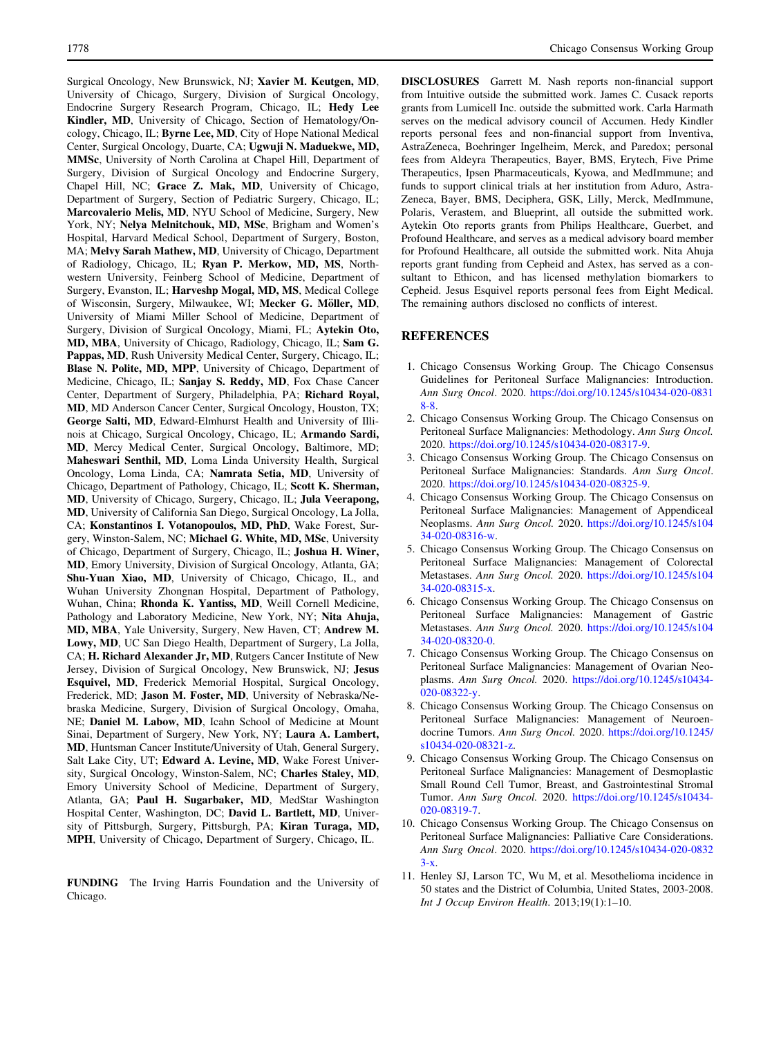<span id="page-4-0"></span>Surgical Oncology, New Brunswick, NJ; Xavier M. Keutgen, MD, University of Chicago, Surgery, Division of Surgical Oncology, Endocrine Surgery Research Program, Chicago, IL; Hedy Lee Kindler, MD, University of Chicago, Section of Hematology/Oncology, Chicago, IL; Byrne Lee, MD, City of Hope National Medical Center, Surgical Oncology, Duarte, CA; Ugwuji N. Maduekwe, MD, MMSc, University of North Carolina at Chapel Hill, Department of Surgery, Division of Surgical Oncology and Endocrine Surgery, Chapel Hill, NC; Grace Z. Mak, MD, University of Chicago, Department of Surgery, Section of Pediatric Surgery, Chicago, IL; Marcovalerio Melis, MD, NYU School of Medicine, Surgery, New York, NY; Nelya Melnitchouk, MD, MSc, Brigham and Women's Hospital, Harvard Medical School, Department of Surgery, Boston, MA; Melvy Sarah Mathew, MD, University of Chicago, Department of Radiology, Chicago, IL; Ryan P. Merkow, MD, MS, Northwestern University, Feinberg School of Medicine, Department of Surgery, Evanston, IL; Harveshp Mogal, MD, MS, Medical College of Wisconsin, Surgery, Milwaukee, WI; Mecker G. Möller, MD, University of Miami Miller School of Medicine, Department of Surgery, Division of Surgical Oncology, Miami, FL; Aytekin Oto, MD, MBA, University of Chicago, Radiology, Chicago, IL; Sam G. Pappas, MD, Rush University Medical Center, Surgery, Chicago, IL; Blase N. Polite, MD, MPP, University of Chicago, Department of Medicine, Chicago, IL; Sanjay S. Reddy, MD, Fox Chase Cancer Center, Department of Surgery, Philadelphia, PA; Richard Royal, MD, MD Anderson Cancer Center, Surgical Oncology, Houston, TX; George Salti, MD, Edward-Elmhurst Health and University of Illinois at Chicago, Surgical Oncology, Chicago, IL; Armando Sardi, MD, Mercy Medical Center, Surgical Oncology, Baltimore, MD; Maheswari Senthil, MD, Loma Linda University Health, Surgical Oncology, Loma Linda, CA; Namrata Setia, MD, University of Chicago, Department of Pathology, Chicago, IL; Scott K. Sherman, MD, University of Chicago, Surgery, Chicago, IL; Jula Veerapong, MD, University of California San Diego, Surgical Oncology, La Jolla, CA; Konstantinos I. Votanopoulos, MD, PhD, Wake Forest, Surgery, Winston-Salem, NC; Michael G. White, MD, MSc, University of Chicago, Department of Surgery, Chicago, IL; Joshua H. Winer, MD, Emory University, Division of Surgical Oncology, Atlanta, GA; Shu-Yuan Xiao, MD, University of Chicago, Chicago, IL, and Wuhan University Zhongnan Hospital, Department of Pathology, Wuhan, China; Rhonda K. Yantiss, MD, Weill Cornell Medicine, Pathology and Laboratory Medicine, New York, NY; Nita Ahuja, MD, MBA, Yale University, Surgery, New Haven, CT; Andrew M. Lowy, MD, UC San Diego Health, Department of Surgery, La Jolla, CA; H. Richard Alexander Jr, MD, Rutgers Cancer Institute of New Jersey, Division of Surgical Oncology, New Brunswick, NJ; Jesus Esquivel, MD, Frederick Memorial Hospital, Surgical Oncology, Frederick, MD; Jason M. Foster, MD, University of Nebraska/Nebraska Medicine, Surgery, Division of Surgical Oncology, Omaha, NE; Daniel M. Labow, MD, Icahn School of Medicine at Mount Sinai, Department of Surgery, New York, NY; Laura A. Lambert, MD, Huntsman Cancer Institute/University of Utah, General Surgery, Salt Lake City, UT; Edward A. Levine, MD, Wake Forest University, Surgical Oncology, Winston-Salem, NC; Charles Staley, MD, Emory University School of Medicine, Department of Surgery, Atlanta, GA; Paul H. Sugarbaker, MD, MedStar Washington Hospital Center, Washington, DC; David L. Bartlett, MD, University of Pittsburgh, Surgery, Pittsburgh, PA; Kiran Turaga, MD, MPH, University of Chicago, Department of Surgery, Chicago, IL.

FUNDING The Irving Harris Foundation and the University of Chicago.

DISCLOSURES Garrett M. Nash reports non-financial support from Intuitive outside the submitted work. James C. Cusack reports grants from Lumicell Inc. outside the submitted work. Carla Harmath serves on the medical advisory council of Accumen. Hedy Kindler reports personal fees and non-financial support from Inventiva, AstraZeneca, Boehringer Ingelheim, Merck, and Paredox; personal fees from Aldeyra Therapeutics, Bayer, BMS, Erytech, Five Prime Therapeutics, Ipsen Pharmaceuticals, Kyowa, and MedImmune; and funds to support clinical trials at her institution from Aduro, Astra-Zeneca, Bayer, BMS, Deciphera, GSK, Lilly, Merck, MedImmune, Polaris, Verastem, and Blueprint, all outside the submitted work. Aytekin Oto reports grants from Philips Healthcare, Guerbet, and Profound Healthcare, and serves as a medical advisory board member for Profound Healthcare, all outside the submitted work. Nita Ahuja reports grant funding from Cepheid and Astex, has served as a consultant to Ethicon, and has licensed methylation biomarkers to Cepheid. Jesus Esquivel reports personal fees from Eight Medical. The remaining authors disclosed no conflicts of interest.

# REFERENCES

- 1. Chicago Consensus Working Group. The Chicago Consensus Guidelines for Peritoneal Surface Malignancies: Introduction. Ann Surg Oncol. 2020. [https://doi.org/10.1245/s10434-020-0831](https://doi.org/10.1245/s10434-020-08318-8) [8-8](https://doi.org/10.1245/s10434-020-08318-8).
- 2. Chicago Consensus Working Group. The Chicago Consensus on Peritoneal Surface Malignancies: Methodology. Ann Surg Oncol. 2020. [https://doi.org/10.1245/s10434-020-08317-9.](https://doi.org/10.1245/s10434-020-08317-9)
- 3. Chicago Consensus Working Group. The Chicago Consensus on Peritoneal Surface Malignancies: Standards. Ann Surg Oncol. 2020. [https://doi.org/10.1245/s10434-020-08325-9.](https://doi.org/10.1245/s10434-020-08325-9)
- 4. Chicago Consensus Working Group. The Chicago Consensus on Peritoneal Surface Malignancies: Management of Appendiceal Neoplasms. Ann Surg Oncol. 2020. [https://doi.org/10.1245/s104](https://doi.org/10.1245/s10434-020-08316-w) [34-020-08316-w.](https://doi.org/10.1245/s10434-020-08316-w)
- 5. Chicago Consensus Working Group. The Chicago Consensus on Peritoneal Surface Malignancies: Management of Colorectal Metastases. Ann Surg Oncol. 2020. [https://doi.org/10.1245/s104](https://doi.org/10.1245/s10434-020-08315-x) [34-020-08315-x.](https://doi.org/10.1245/s10434-020-08315-x)
- 6. Chicago Consensus Working Group. The Chicago Consensus on Peritoneal Surface Malignancies: Management of Gastric Metastases. Ann Surg Oncol. 2020. [https://doi.org/10.1245/s104](https://doi.org/10.1245/s10434-020-08320-0) [34-020-08320-0.](https://doi.org/10.1245/s10434-020-08320-0)
- 7. Chicago Consensus Working Group. The Chicago Consensus on Peritoneal Surface Malignancies: Management of Ovarian Neoplasms. Ann Surg Oncol. 2020. [https://doi.org/10.1245/s10434-](https://doi.org/10.1245/s10434-020-08322-y) [020-08322-y](https://doi.org/10.1245/s10434-020-08322-y).
- 8. Chicago Consensus Working Group. The Chicago Consensus on Peritoneal Surface Malignancies: Management of Neuroendocrine Tumors. Ann Surg Oncol. 2020. [https://doi.org/10.1245/](https://doi.org/10.1245/s10434-020-08321-z) [s10434-020-08321-z](https://doi.org/10.1245/s10434-020-08321-z).
- 9. Chicago Consensus Working Group. The Chicago Consensus on Peritoneal Surface Malignancies: Management of Desmoplastic Small Round Cell Tumor, Breast, and Gastrointestinal Stromal Tumor. Ann Surg Oncol. 2020. [https://doi.org/10.1245/s10434-](https://doi.org/10.1245/s10434-020-08319-7) [020-08319-7](https://doi.org/10.1245/s10434-020-08319-7).
- 10. Chicago Consensus Working Group. The Chicago Consensus on Peritoneal Surface Malignancies: Palliative Care Considerations. Ann Surg Oncol. 2020. [https://doi.org/10.1245/s10434-020-0832](https://doi.org/10.1245/s10434-020-08323-x) [3-x.](https://doi.org/10.1245/s10434-020-08323-x)
- 11. Henley SJ, Larson TC, Wu M, et al. Mesothelioma incidence in 50 states and the District of Columbia, United States, 2003-2008. Int J Occup Environ Health. 2013;19(1):1–10.